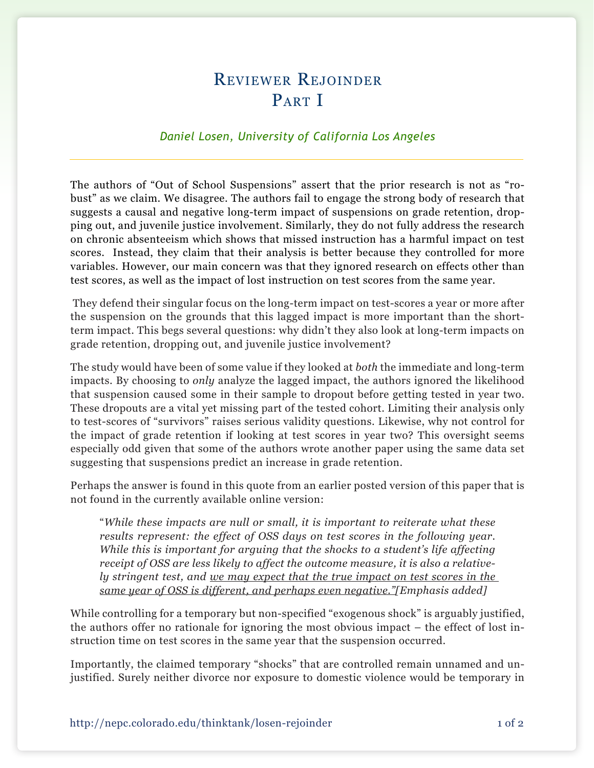## Reviewer Rejoinder PART I

## *Daniel Losen, University of California Los Angeles*

The authors of "Out of School Suspensions" assert that the prior research is not as "robust" as we claim. We disagree. The authors fail to engage the strong body of research that suggests a causal and negative long-term impact of suspensions on grade retention, dropping out, and juvenile justice involvement. Similarly, they do not fully address the research on chronic absenteeism which shows that missed instruction has a harmful impact on test scores. Instead, they claim that their analysis is better because they controlled for more variables. However, our main concern was that they ignored research on effects other than test scores, as well as the impact of lost instruction on test scores from the same year.

 They defend their singular focus on the long-term impact on test-scores a year or more after the suspension on the grounds that this lagged impact is more important than the shortterm impact. This begs several questions: why didn't they also look at long-term impacts on grade retention, dropping out, and juvenile justice involvement?

The study would have been of some value if they looked at *both* the immediate and long-term impacts. By choosing to *only* analyze the lagged impact, the authors ignored the likelihood that suspension caused some in their sample to dropout before getting tested in year two. These dropouts are a vital yet missing part of the tested cohort. Limiting their analysis only to test-scores of "survivors" raises serious validity questions. Likewise, why not control for the impact of grade retention if looking at test scores in year two? This oversight seems especially odd given that some of the authors wrote another paper using the same data set suggesting that suspensions predict an increase in grade retention.

Perhaps the answer is found in this quote from an earlier posted version of this paper that is not found in the currently available online version:

"*While these impacts are null or small, it is important to reiterate what these results represent: the effect of OSS days on test scores in the following year. While this is important for arguing that the shocks to a student's life affecting receipt of OSS are less likely to affect the outcome measure, it is also a relatively stringent test, and we may expect that the true impact on test scores in the same year of OSS is different, and perhaps even negative."[Emphasis added]*

While controlling for a temporary but non-specified "exogenous shock" is arguably justified, the authors offer no rationale for ignoring the most obvious impact – the effect of lost instruction time on test scores in the same year that the suspension occurred.

Importantly, the claimed temporary "shocks" that are controlled remain unnamed and unjustified. Surely neither divorce nor exposure to domestic violence would be temporary in